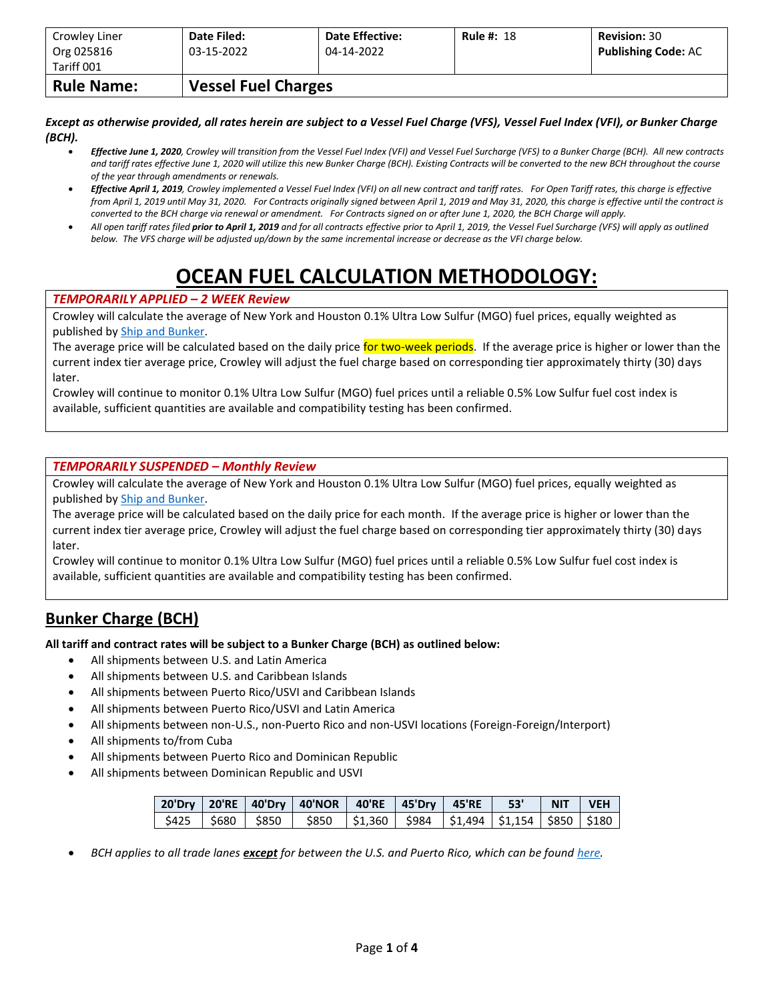| Crowley Liner<br>Org 025816 | Date Filed:<br>03-15-2022  | <b>Date Effective:</b><br>04-14-2022 | <b>Rule #: 18</b> | <b>Revision: 30</b><br><b>Publishing Code: AC</b> |
|-----------------------------|----------------------------|--------------------------------------|-------------------|---------------------------------------------------|
| Tariff 001                  |                            |                                      |                   |                                                   |
| <b>Rule Name:</b>           | <b>Vessel Fuel Charges</b> |                                      |                   |                                                   |

*Except as otherwise provided, all rates herein are subject to a Vessel Fuel Charge (VFS), Vessel Fuel Index (VFI), or Bunker Charge (BCH).*

- *Effective June 1, 2020, Crowley will transition from the Vessel Fuel Index (VFI) and Vessel Fuel Surcharge (VFS) to a Bunker Charge (BCH). All new contracts and tariff rates effective June 1, 2020 will utilize this new Bunker Charge (BCH). Existing Contracts will be converted to the new BCH throughout the course of the year through amendments or renewals.*
- *Effective April 1, 2019, Crowley implemented a Vessel Fuel Index (VFI) on all new contract and tariff rates. For Open Tariff rates, this charge is effective from April 1, 2019 until May 31, 2020. For Contracts originally signed between April 1, 2019 and May 31, 2020, this charge is effective until the contract is converted to the BCH charge via renewal or amendment. For Contracts signed on or after June 1, 2020, the BCH Charge will apply.*
- *All open tariff rates filed prior to April 1, 2019 and for all contracts effective prior to April 1, 2019, the Vessel Fuel Surcharge (VFS) will apply as outlined below. The VFS charge will be adjusted up/down by the same incremental increase or decrease as the VFI charge below.*

# **OCEAN FUEL CALCULATION METHODOLOGY:**

#### *TEMPORARILY APPLIED – 2 WEEK Review*

Crowley will calculate the average of New York and Houston 0.1% Ultra Low Sulfur (MGO) fuel prices, equally weighted as published b[y Ship and Bunker.](https://shipandbunker.com/)

The average price will be calculated based on the daily price for two-week periods. If the average price is higher or lower than the current index tier average price, Crowley will adjust the fuel charge based on corresponding tier approximately thirty (30) days later.

Crowley will continue to monitor 0.1% Ultra Low Sulfur (MGO) fuel prices until a reliable 0.5% Low Sulfur fuel cost index is available, sufficient quantities are available and compatibility testing has been confirmed.

#### *TEMPORARILY SUSPENDED – Monthly Review*

Crowley will calculate the average of New York and Houston 0.1% Ultra Low Sulfur (MGO) fuel prices, equally weighted as published b[y Ship and Bunker.](https://shipandbunker.com/)

The average price will be calculated based on the daily price for each month. If the average price is higher or lower than the current index tier average price, Crowley will adjust the fuel charge based on corresponding tier approximately thirty (30) days later.

Crowley will continue to monitor 0.1% Ultra Low Sulfur (MGO) fuel prices until a reliable 0.5% Low Sulfur fuel cost index is available, sufficient quantities are available and compatibility testing has been confirmed.

### **Bunker Charge (BCH)**

**All tariff and contract rates will be subject to a Bunker Charge (BCH) as outlined below:**

- All shipments between U.S. and Latin America
- All shipments between U.S. and Caribbean Islands
- All shipments between Puerto Rico/USVI and Caribbean Islands
- All shipments between Puerto Rico/USVI and Latin America
- All shipments between non-U.S., non-Puerto Rico and non-USVI locations (Foreign-Foreign/Interport)
- All shipments to/from Cuba
- All shipments between Puerto Rico and Dominican Republic
- All shipments between Dominican Republic and USVI

|  | 20'Dry 20'RE 40'Dry 40'NOR 40'RE 45'Dry 45'RE 53' NIT VEH                           |  |  |  |  |
|--|-------------------------------------------------------------------------------------|--|--|--|--|
|  | \$425   \$680   \$850   \$850   \$1,360   \$984   \$1,494   \$1,154   \$850   \$180 |  |  |  |  |

• *BCH applies to all trade lanes except for between the U.S. and Puerto Rico, which can be foun[d here.](https://www.crowley.com/logistics/resources/rates-tariffs/stb/#18-1-vessel-fuel-surcharge-between-the-continental-us-and-puerto-rico)*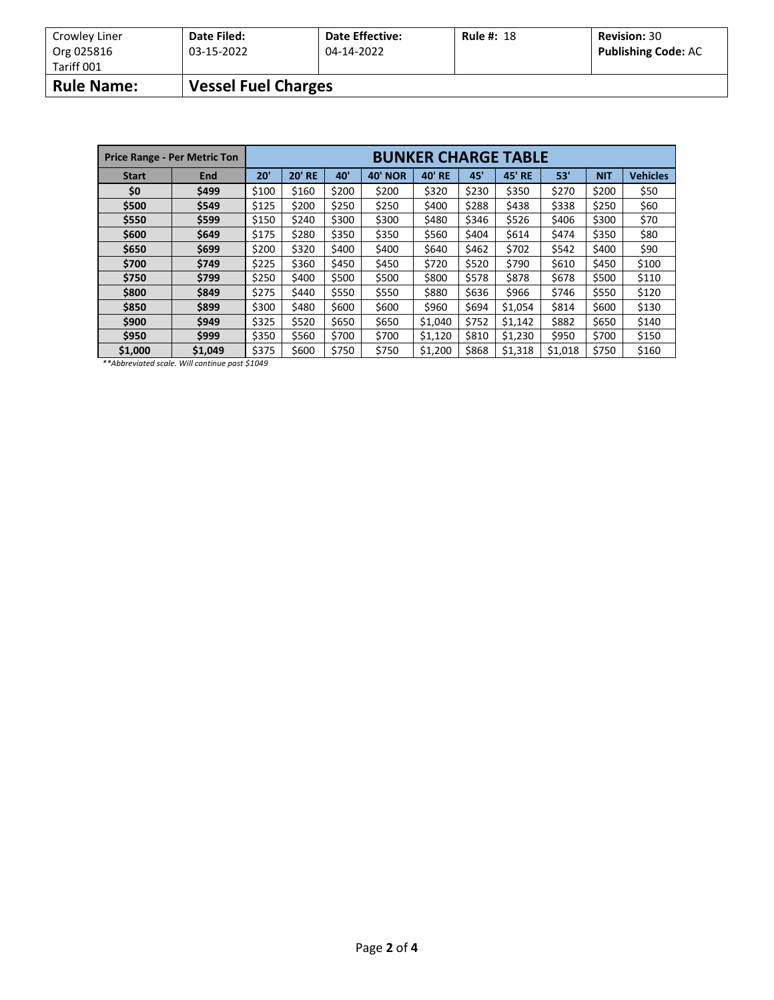| Crowley Liner<br>Org 025816 | Date Filed:<br>03-15-2022  | <b>Date Effective:</b><br>04-14-2022 | <b>Rule #: 18</b> | <b>Revision: 30</b><br><b>Publishing Code: AC</b> |
|-----------------------------|----------------------------|--------------------------------------|-------------------|---------------------------------------------------|
| Tariff 001                  |                            |                                      |                   |                                                   |
| <b>Rule Name:</b>           | <b>Vessel Fuel Charges</b> |                                      |                   |                                                   |

|              | <b>Price Range - Per Metric Ton</b> | <b>BUNKER CHARGE TABLE</b> |               |       |                |               |       |               |         |            |                 |
|--------------|-------------------------------------|----------------------------|---------------|-------|----------------|---------------|-------|---------------|---------|------------|-----------------|
| <b>Start</b> | <b>End</b>                          | 20'                        | <b>20' RE</b> | 40'   | <b>40' NOR</b> | <b>40' RE</b> | 45'   | <b>45' RE</b> | 53'     | <b>NIT</b> | <b>Vehicles</b> |
| \$0          | \$499                               | \$100                      | \$160         | \$200 | \$200          | \$320         | \$230 | \$350         | \$270   | \$200      | \$50            |
| \$500        | \$549                               | \$125                      | \$200         | \$250 | \$250          | \$400         | \$288 | \$438         | \$338   | \$250      | \$60            |
| \$550        | \$599                               | \$150                      | \$240         | \$300 | \$300          | \$480         | \$346 | \$526         | \$406   | \$300      | \$70            |
| \$600        | \$649                               | \$175                      | \$280         | \$350 | \$350          | \$560         | \$404 | \$614         | \$474   | \$350      | \$80            |
| \$650        | \$699                               | \$200                      | \$320         | \$400 | \$400          | \$640         | \$462 | \$702         | \$542   | \$400      | \$90            |
| \$700        | \$749                               | \$225                      | \$360         | \$450 | \$450          | \$720         | \$520 | \$790         | \$610   | \$450      | \$100           |
| \$750        | \$799                               | \$250                      | \$400         | \$500 | \$500          | \$800         | \$578 | \$878         | \$678   | \$500      | \$110           |
| \$800        | \$849                               | \$275                      | \$440         | \$550 | \$550          | \$880         | \$636 | \$966         | \$746   | \$550      | \$120           |
| \$850        | \$899                               | \$300                      | \$480         | \$600 | \$600          | \$960         | \$694 | \$1,054       | \$814   | \$600      | \$130           |
| \$900        | \$949                               | \$325                      | \$520         | \$650 | \$650          | \$1,040       | \$752 | \$1,142       | \$882   | \$650      | \$140           |
| \$950        | \$999                               | \$350                      | \$560         | \$700 | \$700          | \$1,120       | \$810 | \$1,230       | \$950   | \$700      | \$150           |
| \$1,000      | \$1.049                             | \$375                      | \$600         | \$750 | \$750          | \$1,200       | \$868 | \$1,318       | \$1,018 | \$750      | \$160           |

*\*\*Abbreviated scale. Will continue past \$1049*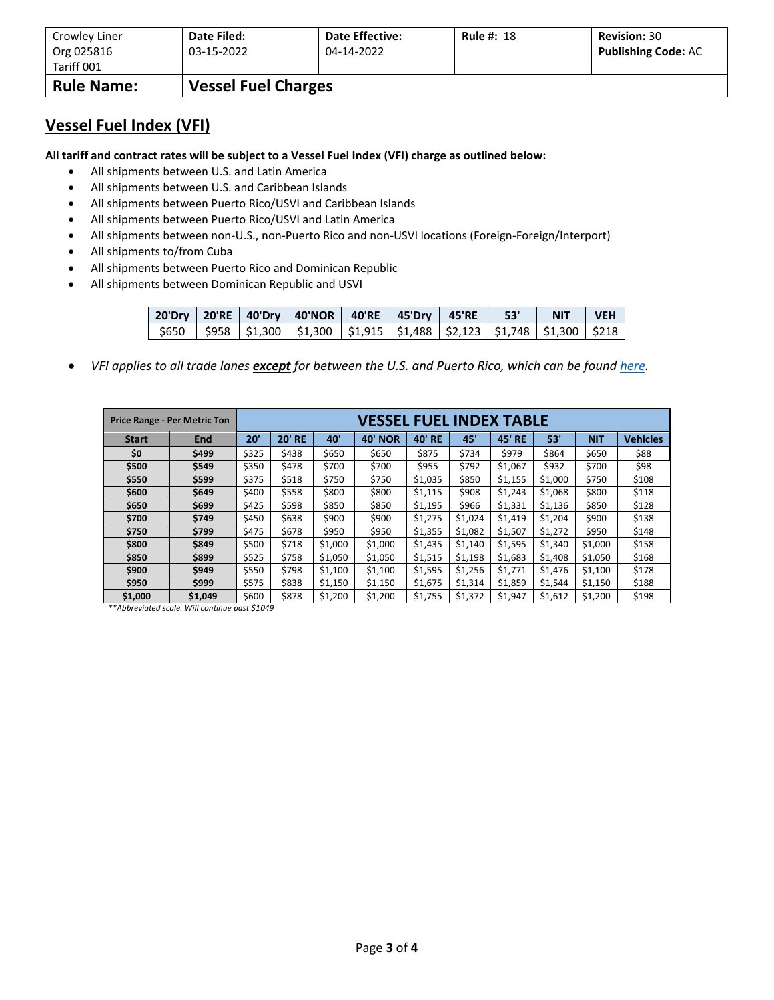| Crowley Liner<br>Org 025816 | Date Filed:<br>03-15-2022  | <b>Date Effective:</b><br>04-14-2022 | <b>Rule #: 18</b> | <b>Revision: 30</b><br><b>Publishing Code: AC</b> |
|-----------------------------|----------------------------|--------------------------------------|-------------------|---------------------------------------------------|
| Tariff 001                  |                            |                                      |                   |                                                   |
| <b>Rule Name:</b>           | <b>Vessel Fuel Charges</b> |                                      |                   |                                                   |

### **Vessel Fuel Index (VFI)**

**All tariff and contract rates will be subject to a Vessel Fuel Index (VFI) charge as outlined below:**

- All shipments between U.S. and Latin America
- All shipments between U.S. and Caribbean Islands
- All shipments between Puerto Rico/USVI and Caribbean Islands
- All shipments between Puerto Rico/USVI and Latin America
- All shipments between non-U.S., non-Puerto Rico and non-USVI locations (Foreign-Foreign/Interport)
- All shipments to/from Cuba
- All shipments between Puerto Rico and Dominican Republic
- All shipments between Dominican Republic and USVI

|  | 20'Dry   20'RE   40'Dry   40'NOR   40'RE   45'Dry   45'RE   53'                                           |  |  | NIT VEH |  |  |
|--|-----------------------------------------------------------------------------------------------------------|--|--|---------|--|--|
|  | $\frac{1}{2}$ \$650   \$958   \$1,300   \$1,300   \$1,915   \$1,488   \$2,123   \$1,748   \$1,300   \$218 |  |  |         |  |  |

• *VFI applies to all trade lanes except for between the U.S. and Puerto Rico, which can be foun[d here.](https://www.crowley.com/logistics/resources/rates-tariffs/stb/#18-1-vessel-fuel-surcharge-between-the-continental-us-and-puerto-rico)*

|              | <b>Price Range - Per Metric Ton</b> | VESSEL FUEL INDEX TABLE |               |         |                |               |         |               |         |            |                 |
|--------------|-------------------------------------|-------------------------|---------------|---------|----------------|---------------|---------|---------------|---------|------------|-----------------|
| <b>Start</b> | <b>End</b>                          | 20'                     | <b>20' RE</b> | 40'     | <b>40' NOR</b> | <b>40' RE</b> | 45'     | <b>45' RE</b> | 53'     | <b>NIT</b> | <b>Vehicles</b> |
| \$0          | \$499                               | \$325                   | \$438         | \$650   | \$650          | \$875         | \$734   | \$979         | \$864   | \$650      | \$88            |
| \$500        | \$549                               | \$350                   | \$478         | \$700   | \$700          | \$955         | \$792   | \$1,067       | \$932   | \$700      | \$98            |
| \$550        | \$599                               | \$375                   | \$518         | \$750   | \$750          | \$1,035       | \$850   | \$1,155       | \$1,000 | \$750      | \$108           |
| \$600        | \$649                               | \$400                   | \$558         | \$800   | \$800          | \$1,115       | \$908   | \$1,243       | \$1,068 | \$800      | \$118           |
| \$650        | \$699                               | \$425                   | \$598         | \$850   | \$850          | \$1,195       | \$966   | \$1,331       | \$1,136 | \$850      | \$128           |
| \$700        | \$749                               | \$450                   | \$638         | \$900   | \$900          | \$1,275       | \$1,024 | \$1,419       | \$1,204 | \$900      | \$138           |
| \$750        | \$799                               | \$475                   | \$678         | \$950   | \$950          | \$1,355       | \$1,082 | \$1,507       | \$1,272 | \$950      | \$148           |
| \$800        | \$849                               | \$500                   | \$718         | \$1,000 | \$1,000        | \$1,435       | \$1,140 | \$1,595       | \$1,340 | \$1,000    | \$158           |
| \$850        | \$899                               | \$525                   | \$758         | \$1,050 | \$1,050        | \$1,515       | \$1,198 | \$1,683       | \$1,408 | \$1,050    | \$168           |
| \$900        | \$949                               | \$550                   | \$798         | \$1,100 | \$1,100        | \$1,595       | \$1,256 | \$1,771       | \$1,476 | \$1,100    | \$178           |
| \$950        | \$999                               | \$575                   | \$838         | \$1,150 | \$1,150        | \$1,675       | \$1,314 | \$1,859       | \$1,544 | \$1,150    | \$188           |
| \$1,000      | \$1,049                             | \$600                   | \$878         | \$1,200 | \$1,200        | \$1,755       | \$1,372 | \$1,947       | \$1,612 | \$1,200    | \$198           |

*\*\*Abbreviated scale. Will continue past \$1049*